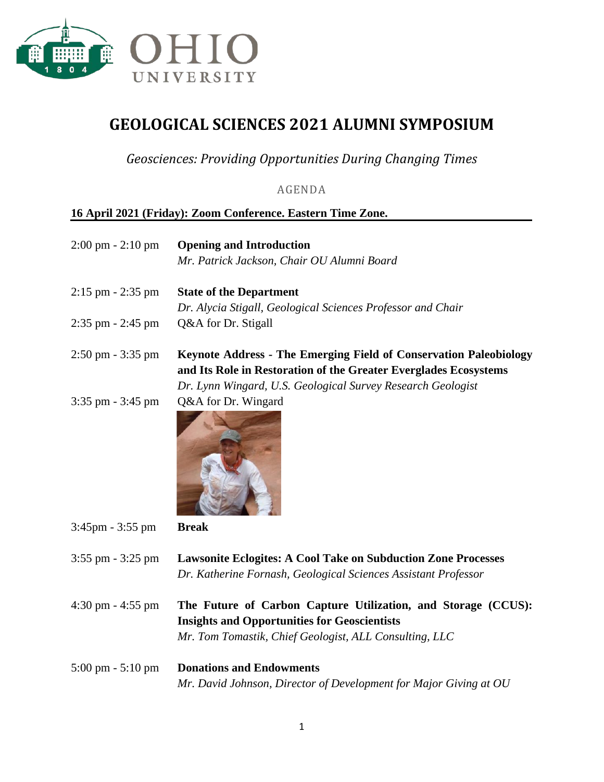

## **GEOLOGICAL SCIENCES 2021 ALUMNI SYMPOSIUM**

*Geosciences: Providing Opportunities During Changing Times*

AGENDA

## **16 April 2021 (Friday): Zoom Conference. Eastern Time Zone.**

| $2:00 \text{ pm} - 2:10 \text{ pm}$ | <b>Opening and Introduction</b>                                                                                                                                                |
|-------------------------------------|--------------------------------------------------------------------------------------------------------------------------------------------------------------------------------|
|                                     | Mr. Patrick Jackson, Chair OU Alumni Board                                                                                                                                     |
| $2:15$ pm $-2:35$ pm                | <b>State of the Department</b>                                                                                                                                                 |
|                                     | Dr. Alycia Stigall, Geological Sciences Professor and Chair                                                                                                                    |
| $2:35$ pm $-2:45$ pm                | Q&A for Dr. Stigall                                                                                                                                                            |
| $2:50 \text{ pm} - 3:35 \text{ pm}$ | <b>Keynote Address - The Emerging Field of Conservation Paleobiology</b>                                                                                                       |
|                                     | and Its Role in Restoration of the Greater Everglades Ecosystems                                                                                                               |
|                                     | Dr. Lynn Wingard, U.S. Geological Survey Research Geologist                                                                                                                    |
| $3:35$ pm $-3:45$ pm                | Q&A for Dr. Wingard                                                                                                                                                            |
| $3:45 \text{pm} - 3:55 \text{pm}$   | <b>Break</b>                                                                                                                                                                   |
| $3:55$ pm $-3:25$ pm                | <b>Lawsonite Eclogites: A Cool Take on Subduction Zone Processes</b><br>Dr. Katherine Fornash, Geological Sciences Assistant Professor                                         |
| $4:30$ pm $- 4:55$ pm               | The Future of Carbon Capture Utilization, and Storage (CCUS):<br><b>Insights and Opportunities for Geoscientists</b><br>Mr. Tom Tomastik, Chief Geologist, ALL Consulting, LLC |
|                                     |                                                                                                                                                                                |
| $5:00 \text{ pm} - 5:10 \text{ pm}$ | <b>Donations and Endowments</b>                                                                                                                                                |
|                                     | Mr. David Johnson, Director of Development for Major Giving at OU                                                                                                              |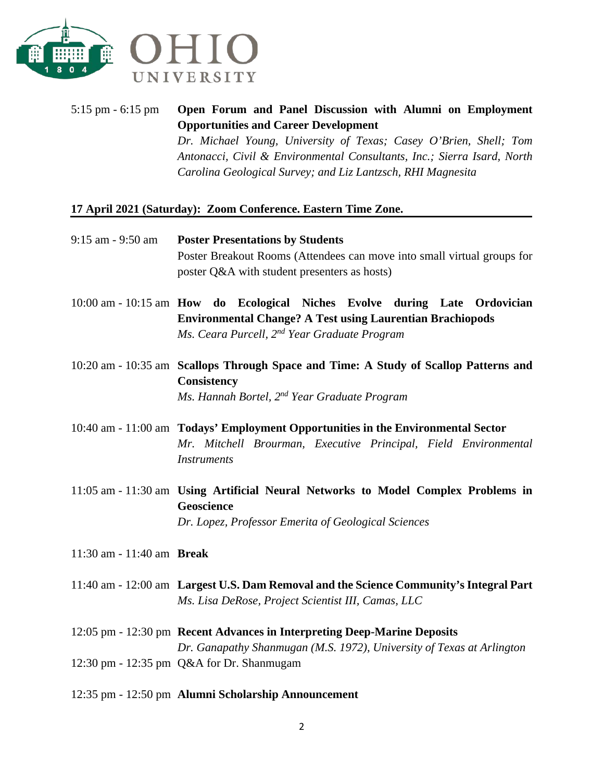

5:15 pm - 6:15 pm **Open Forum and Panel Discussion with Alumni on Employment Opportunities and Career Development** *Dr. Michael Young, University of Texas; Casey O'Brien, Shell; Tom Antonacci, Civil & Environmental Consultants, Inc.; Sierra Isard, North Carolina Geological Survey; and Liz Lantzsch, RHI Magnesita*

## **17 April 2021 (Saturday): Zoom Conference. Eastern Time Zone.**

| 9:15 am - 9:50 am         | <b>Poster Presentations by Students</b><br>Poster Breakout Rooms (Attendees can move into small virtual groups for<br>poster Q&A with student presenters as hosts)                                         |
|---------------------------|------------------------------------------------------------------------------------------------------------------------------------------------------------------------------------------------------------|
|                           | 10:00 am - 10:15 am How do Ecological Niches Evolve during Late Ordovician<br><b>Environmental Change? A Test using Laurentian Brachiopods</b><br>Ms. Ceara Purcell, 2 <sup>nd</sup> Year Graduate Program |
|                           | 10:20 am - 10:35 am Scallops Through Space and Time: A Study of Scallop Patterns and<br>Consistency<br>Ms. Hannah Bortel, 2 <sup>nd</sup> Year Graduate Program                                            |
|                           | 10:40 am - 11:00 am Todays' Employment Opportunities in the Environmental Sector<br>Mr. Mitchell Brourman, Executive Principal, Field Environmental<br><i>Instruments</i>                                  |
|                           | 11:05 am - 11:30 am Using Artificial Neural Networks to Model Complex Problems in<br>Geoscience<br>Dr. Lopez, Professor Emerita of Geological Sciences                                                     |
| 11:30 am - 11:40 am Break |                                                                                                                                                                                                            |
|                           | 11:40 am - 12:00 am Largest U.S. Dam Removal and the Science Community's Integral Part<br>Ms. Lisa DeRose, Project Scientist III, Camas, LLC                                                               |
|                           | 12:05 pm - 12:30 pm Recent Advances in Interpreting Deep-Marine Deposits                                                                                                                                   |

*Dr. Ganapathy Shanmugan (M.S. 1972), University of Texas at Arlington* 12:30 pm - 12:35 pm Q&A for Dr. Shanmugam

12:35 pm - 12:50 pm **Alumni Scholarship Announcement**